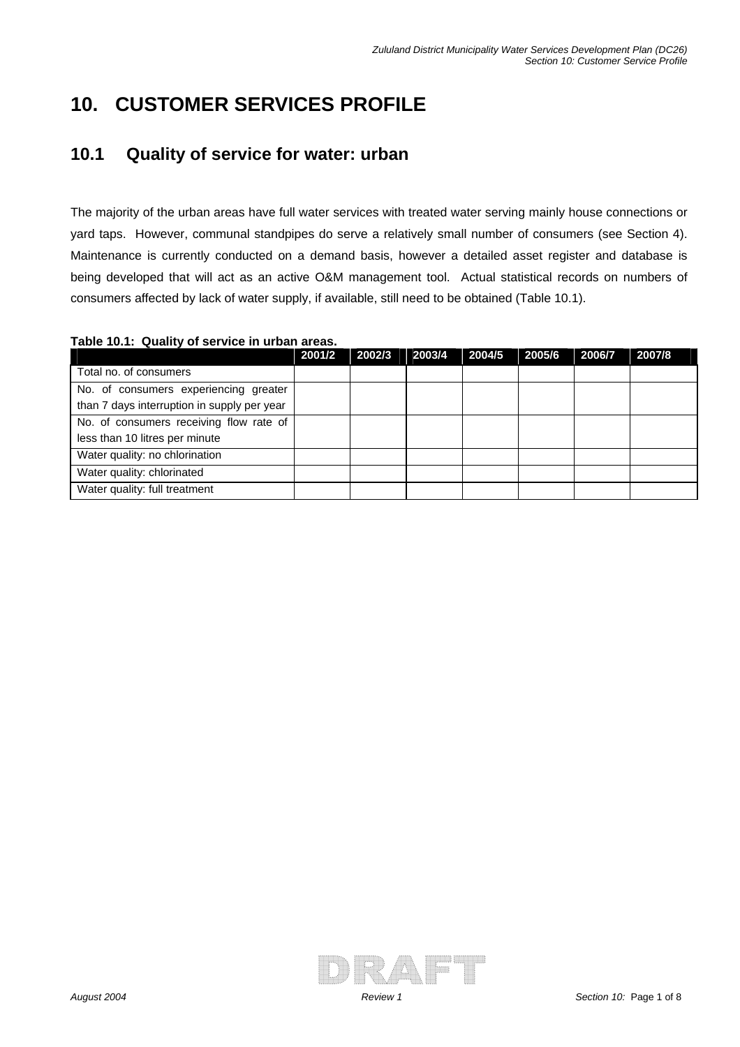# **10. CUSTOMER SERVICES PROFILE**

## **10.1 Quality of service for water: urban**

The majority of the urban areas have full water services with treated water serving mainly house connections or yard taps. However, communal standpipes do serve a relatively small number of consumers (see Section 4). Maintenance is currently conducted on a demand basis, however a detailed asset register and database is being developed that will act as an active O&M management tool. Actual statistical records on numbers of consumers affected by lack of water supply, if available, still need to be obtained (Table 10.1).

| Table 10.1: Quality of service in urban areas. |  |  |  |  |  |
|------------------------------------------------|--|--|--|--|--|
|------------------------------------------------|--|--|--|--|--|

|                                             | 2001/2 | 2002/3 | 2003/4 | 2004/5 | 2005/6 | 2006/7 | 2007/8 |
|---------------------------------------------|--------|--------|--------|--------|--------|--------|--------|
| Total no. of consumers                      |        |        |        |        |        |        |        |
| No. of consumers experiencing greater       |        |        |        |        |        |        |        |
| than 7 days interruption in supply per year |        |        |        |        |        |        |        |
| No. of consumers receiving flow rate of     |        |        |        |        |        |        |        |
| less than 10 litres per minute              |        |        |        |        |        |        |        |
| Water quality: no chlorination              |        |        |        |        |        |        |        |
| Water quality: chlorinated                  |        |        |        |        |        |        |        |
| Water quality: full treatment               |        |        |        |        |        |        |        |

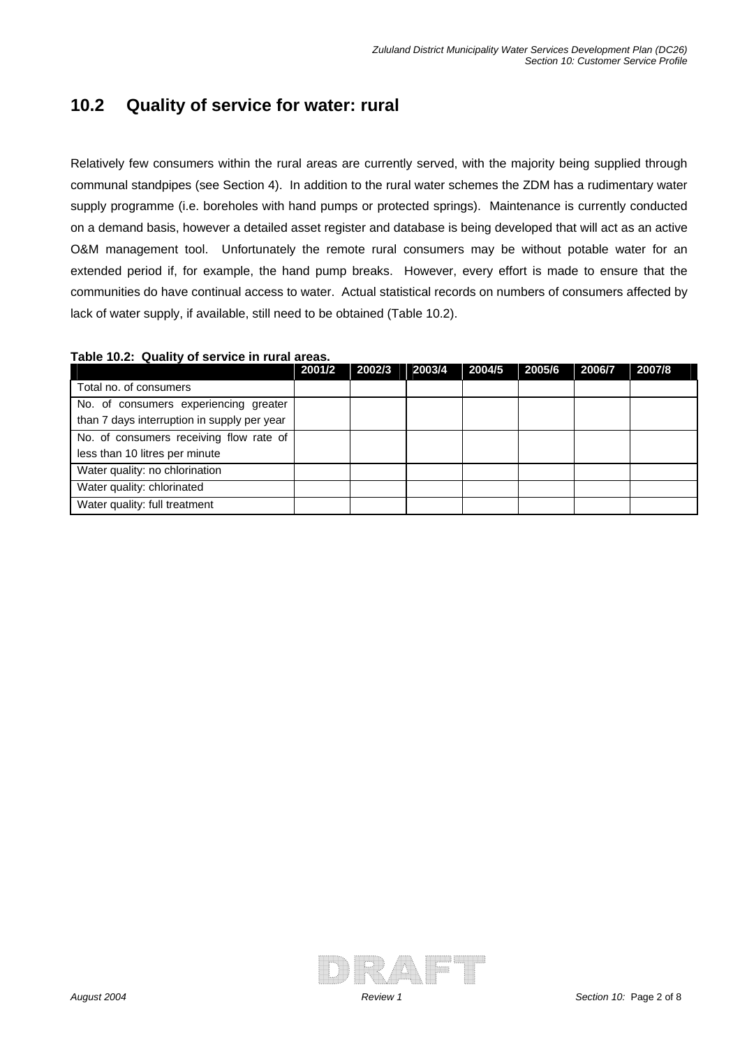### **10.2 Quality of service for water: rural**

Relatively few consumers within the rural areas are currently served, with the majority being supplied through communal standpipes (see Section 4). In addition to the rural water schemes the ZDM has a rudimentary water supply programme (i.e. boreholes with hand pumps or protected springs). Maintenance is currently conducted on a demand basis, however a detailed asset register and database is being developed that will act as an active O&M management tool. Unfortunately the remote rural consumers may be without potable water for an extended period if, for example, the hand pump breaks. However, every effort is made to ensure that the communities do have continual access to water. Actual statistical records on numbers of consumers affected by lack of water supply, if available, still need to be obtained (Table 10.2).

|                                             | 2001/2 | 2002/3 | 2003/4 | 2004/5 | 2005/6 | 2006/7 | 2007/8 |
|---------------------------------------------|--------|--------|--------|--------|--------|--------|--------|
| Total no. of consumers                      |        |        |        |        |        |        |        |
| No. of consumers experiencing greater       |        |        |        |        |        |        |        |
| than 7 days interruption in supply per year |        |        |        |        |        |        |        |
| No. of consumers receiving flow rate of     |        |        |        |        |        |        |        |
| less than 10 litres per minute              |        |        |        |        |        |        |        |
| Water quality: no chlorination              |        |        |        |        |        |        |        |
| Water quality: chlorinated                  |        |        |        |        |        |        |        |
| Water quality: full treatment               |        |        |        |        |        |        |        |

#### **Table 10.2: Quality of service in rural areas.**

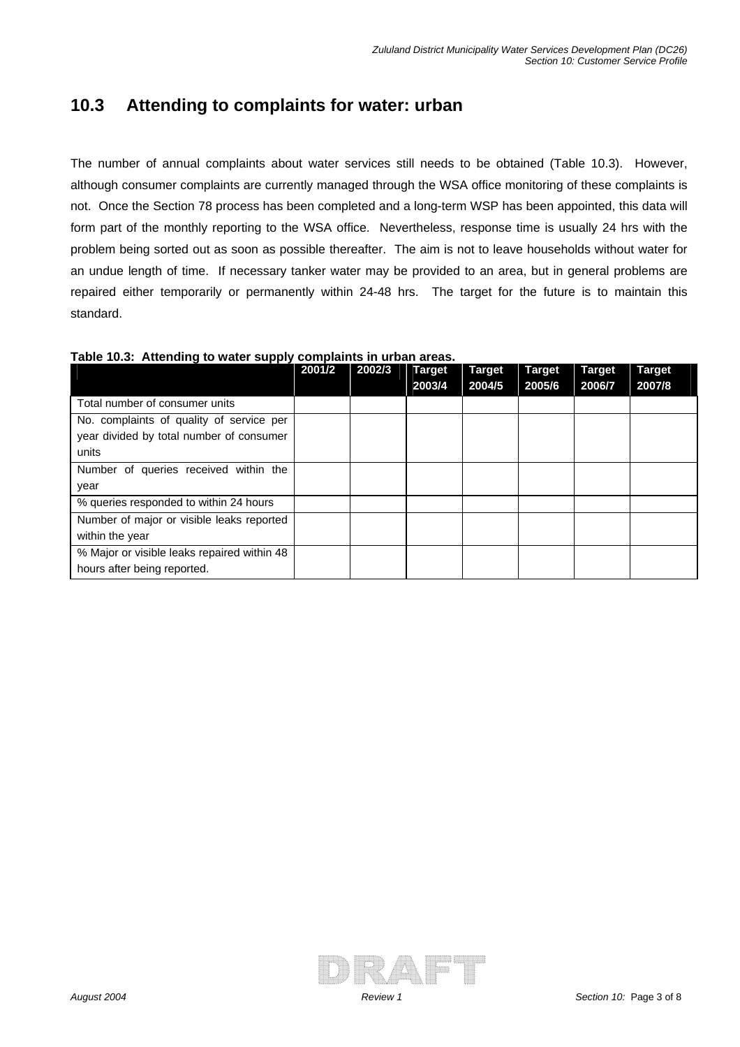#### **10.3 Attending to complaints for water: urban**

The number of annual complaints about water services still needs to be obtained (Table 10.3). However, although consumer complaints are currently managed through the WSA office monitoring of these complaints is not. Once the Section 78 process has been completed and a long-term WSP has been appointed, this data will form part of the monthly reporting to the WSA office. Nevertheless, response time is usually 24 hrs with the problem being sorted out as soon as possible thereafter. The aim is not to leave households without water for an undue length of time. If necessary tanker water may be provided to an area, but in general problems are repaired either temporarily or permanently within 24-48 hrs. The target for the future is to maintain this standard.

| Table 10.3: Attending to water supply complaints in urban areas. |  |  |  |
|------------------------------------------------------------------|--|--|--|
|------------------------------------------------------------------|--|--|--|

| .                                           | 2001/2 | 2002/3 | <b>Target</b> | <b>Target</b> | Target | <b>Target</b> | <b>Target</b> |
|---------------------------------------------|--------|--------|---------------|---------------|--------|---------------|---------------|
|                                             |        |        | 2003/4        | 2004/5        | 2005/6 | 2006/7        | 2007/8        |
| Total number of consumer units              |        |        |               |               |        |               |               |
| No. complaints of quality of service per    |        |        |               |               |        |               |               |
| year divided by total number of consumer    |        |        |               |               |        |               |               |
| units                                       |        |        |               |               |        |               |               |
| Number of queries received within the       |        |        |               |               |        |               |               |
| year                                        |        |        |               |               |        |               |               |
| % queries responded to within 24 hours      |        |        |               |               |        |               |               |
| Number of major or visible leaks reported   |        |        |               |               |        |               |               |
| within the year                             |        |        |               |               |        |               |               |
| % Major or visible leaks repaired within 48 |        |        |               |               |        |               |               |
| hours after being reported.                 |        |        |               |               |        |               |               |

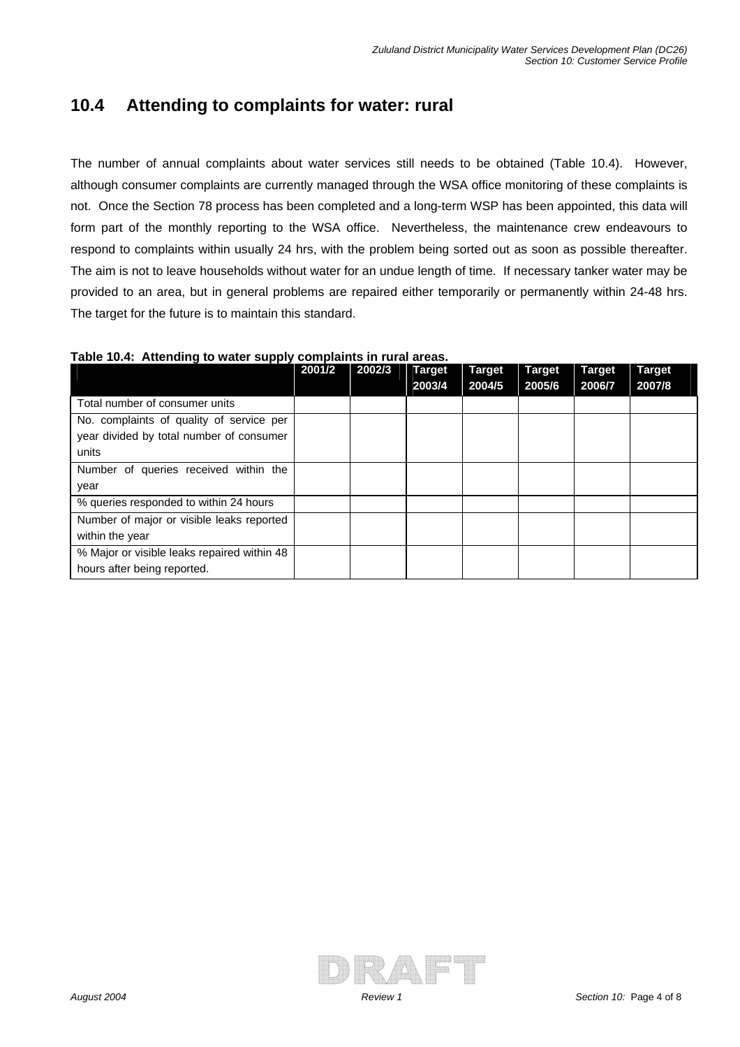### **10.4 Attending to complaints for water: rural**

The number of annual complaints about water services still needs to be obtained (Table 10.4). However, although consumer complaints are currently managed through the WSA office monitoring of these complaints is not. Once the Section 78 process has been completed and a long-term WSP has been appointed, this data will form part of the monthly reporting to the WSA office. Nevertheless, the maintenance crew endeavours to respond to complaints within usually 24 hrs, with the problem being sorted out as soon as possible thereafter. The aim is not to leave households without water for an undue length of time. If necessary tanker water may be provided to an area, but in general problems are repaired either temporarily or permanently within 24-48 hrs. The target for the future is to maintain this standard.

|  | Table 10.4: Attending to water supply complaints in rural areas. |
|--|------------------------------------------------------------------|
|--|------------------------------------------------------------------|

| .                                           | 2001/2 | 2002/3 | <b>Target</b> | <b>Target</b> | Target | <b>Target</b> | <b>Target</b> |
|---------------------------------------------|--------|--------|---------------|---------------|--------|---------------|---------------|
|                                             |        |        | 2003/4        | 2004/5        | 2005/6 | 2006/7        | 2007/8        |
| Total number of consumer units              |        |        |               |               |        |               |               |
| No. complaints of quality of service per    |        |        |               |               |        |               |               |
| year divided by total number of consumer    |        |        |               |               |        |               |               |
| units                                       |        |        |               |               |        |               |               |
| Number of queries received within the       |        |        |               |               |        |               |               |
| year                                        |        |        |               |               |        |               |               |
| % queries responded to within 24 hours      |        |        |               |               |        |               |               |
| Number of major or visible leaks reported   |        |        |               |               |        |               |               |
| within the year                             |        |        |               |               |        |               |               |
| % Major or visible leaks repaired within 48 |        |        |               |               |        |               |               |
| hours after being reported.                 |        |        |               |               |        |               |               |

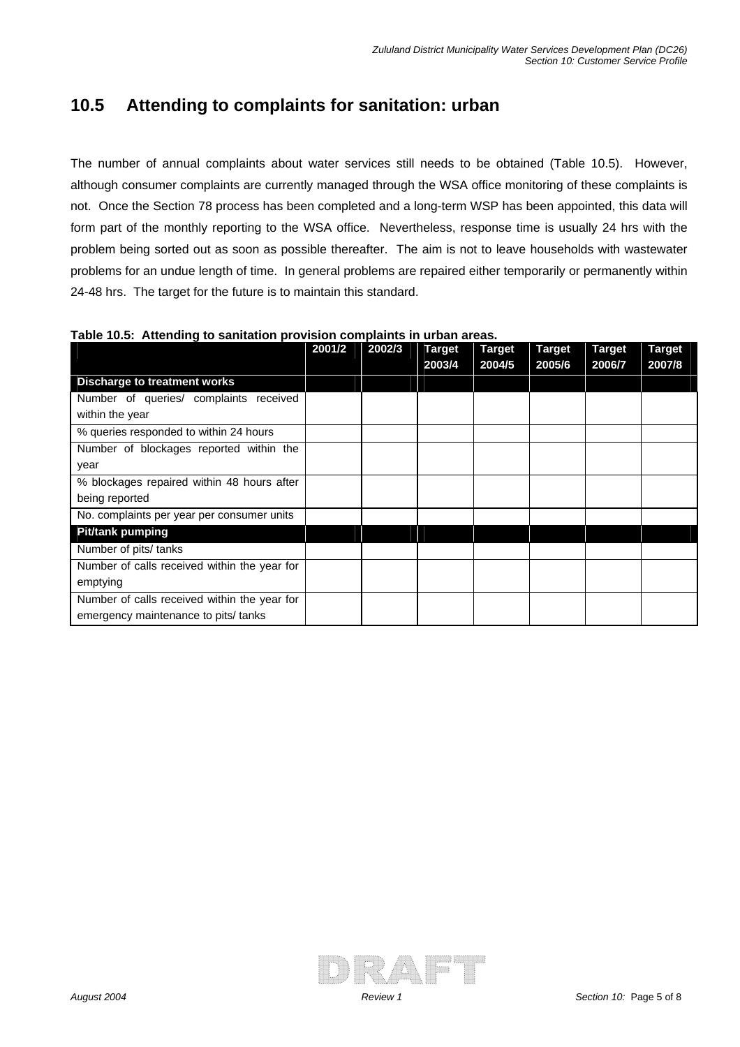## **10.5 Attending to complaints for sanitation: urban**

The number of annual complaints about water services still needs to be obtained (Table 10.5). However, although consumer complaints are currently managed through the WSA office monitoring of these complaints is not. Once the Section 78 process has been completed and a long-term WSP has been appointed, this data will form part of the monthly reporting to the WSA office. Nevertheless, response time is usually 24 hrs with the problem being sorted out as soon as possible thereafter. The aim is not to leave households with wastewater problems for an undue length of time. In general problems are repaired either temporarily or permanently within 24-48 hrs. The target for the future is to maintain this standard.

| Table T0.5. Alteriumy to samtation provision complaints in urban areas. |        |        |               |               |               |               |               |
|-------------------------------------------------------------------------|--------|--------|---------------|---------------|---------------|---------------|---------------|
|                                                                         | 2001/2 | 2002/3 | <b>Target</b> | <b>Target</b> | <b>Target</b> | <b>Target</b> | <b>Target</b> |
|                                                                         |        |        | 2003/4        | 2004/5        | 2005/6        | 2006/7        | 2007/8        |
| <b>Discharge to treatment works</b>                                     |        |        |               |               |               |               |               |
| Number of queries/ complaints received                                  |        |        |               |               |               |               |               |
| within the year                                                         |        |        |               |               |               |               |               |
| % queries responded to within 24 hours                                  |        |        |               |               |               |               |               |
| Number of blockages reported within the                                 |        |        |               |               |               |               |               |
| year                                                                    |        |        |               |               |               |               |               |
| % blockages repaired within 48 hours after                              |        |        |               |               |               |               |               |
| being reported                                                          |        |        |               |               |               |               |               |
| No. complaints per year per consumer units                              |        |        |               |               |               |               |               |
| <b>Pit/tank pumping</b>                                                 |        |        |               |               |               |               |               |
| Number of pits/ tanks                                                   |        |        |               |               |               |               |               |
| Number of calls received within the year for                            |        |        |               |               |               |               |               |
| emptying                                                                |        |        |               |               |               |               |               |
| Number of calls received within the year for                            |        |        |               |               |               |               |               |
| emergency maintenance to pits/ tanks                                    |        |        |               |               |               |               |               |

**Table 10.5: Attending to sanitation provision complaints in urban areas.**

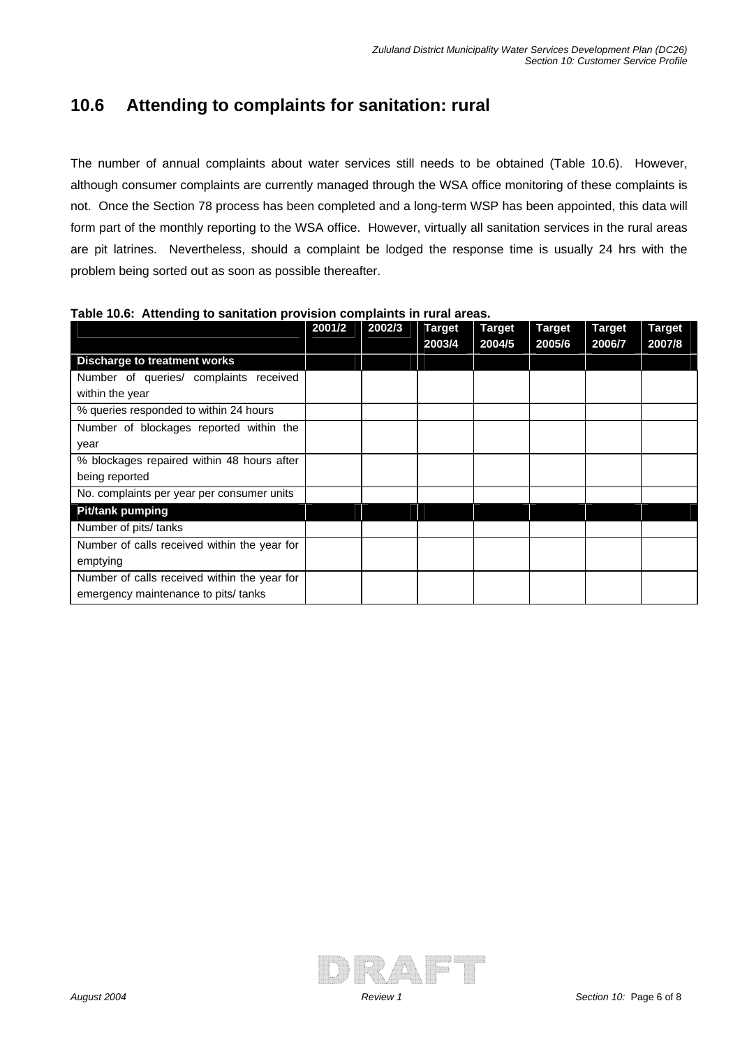# **10.6 Attending to complaints for sanitation: rural**

The number of annual complaints about water services still needs to be obtained (Table 10.6). However, although consumer complaints are currently managed through the WSA office monitoring of these complaints is not. Once the Section 78 process has been completed and a long-term WSP has been appointed, this data will form part of the monthly reporting to the WSA office. However, virtually all sanitation services in the rural areas are pit latrines. Nevertheless, should a complaint be lodged the response time is usually 24 hrs with the problem being sorted out as soon as possible thereafter.

|                                              | 2001/2 | 2002/3 | <b>Target</b><br>2003/4 | <b>Target</b><br>2004/5 | <b>Target</b><br>2005/6 | <b>Target</b><br>2006/7 | <b>Target</b><br>2007/8 |
|----------------------------------------------|--------|--------|-------------------------|-------------------------|-------------------------|-------------------------|-------------------------|
| <b>Discharge to treatment works</b>          |        |        |                         |                         |                         |                         |                         |
| Number of queries/ complaints received       |        |        |                         |                         |                         |                         |                         |
| within the year                              |        |        |                         |                         |                         |                         |                         |
| % queries responded to within 24 hours       |        |        |                         |                         |                         |                         |                         |
| Number of blockages reported within the      |        |        |                         |                         |                         |                         |                         |
| year                                         |        |        |                         |                         |                         |                         |                         |
| % blockages repaired within 48 hours after   |        |        |                         |                         |                         |                         |                         |
| being reported                               |        |        |                         |                         |                         |                         |                         |
| No. complaints per year per consumer units   |        |        |                         |                         |                         |                         |                         |
| <b>Pit/tank pumping</b>                      |        |        |                         |                         |                         |                         |                         |
| Number of pits/ tanks                        |        |        |                         |                         |                         |                         |                         |
| Number of calls received within the year for |        |        |                         |                         |                         |                         |                         |
| emptying                                     |        |        |                         |                         |                         |                         |                         |
| Number of calls received within the year for |        |        |                         |                         |                         |                         |                         |
| emergency maintenance to pits/ tanks         |        |        |                         |                         |                         |                         |                         |

**Table 10.6: Attending to sanitation provision complaints in rural areas.** 

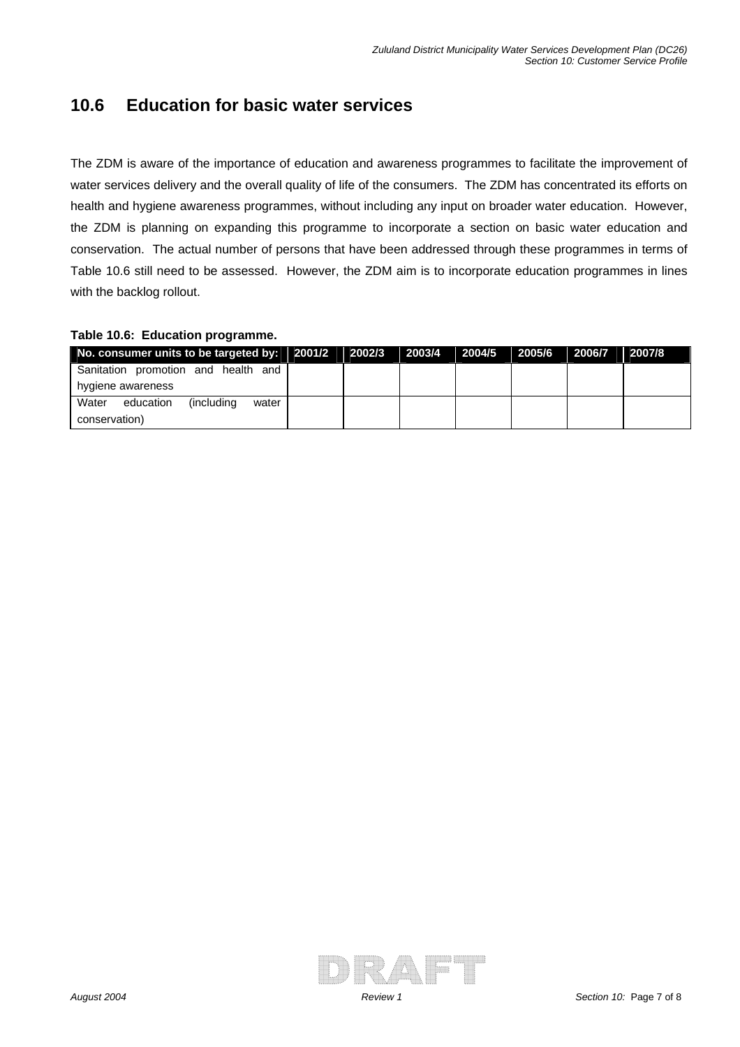### **10.6 Education for basic water services**

The ZDM is aware of the importance of education and awareness programmes to facilitate the improvement of water services delivery and the overall quality of life of the consumers. The ZDM has concentrated its efforts on health and hygiene awareness programmes, without including any input on broader water education. However, the ZDM is planning on expanding this programme to incorporate a section on basic water education and conservation. The actual number of persons that have been addressed through these programmes in terms of Table 10.6 still need to be assessed. However, the ZDM aim is to incorporate education programmes in lines with the backlog rollout.

#### **Table 10.6: Education programme.**

| No. consumer units to be targeted by:   2001/2   2002/3 |  | 2003/4 | $\vert$ 2004/5 2005/6 2006/7 |  | 2007/8 |
|---------------------------------------------------------|--|--------|------------------------------|--|--------|
| Sanitation promotion and health and                     |  |        |                              |  |        |
| hygiene awareness                                       |  |        |                              |  |        |
| Water<br><i>l</i> including<br>education<br>water       |  |        |                              |  |        |
| conservation)                                           |  |        |                              |  |        |